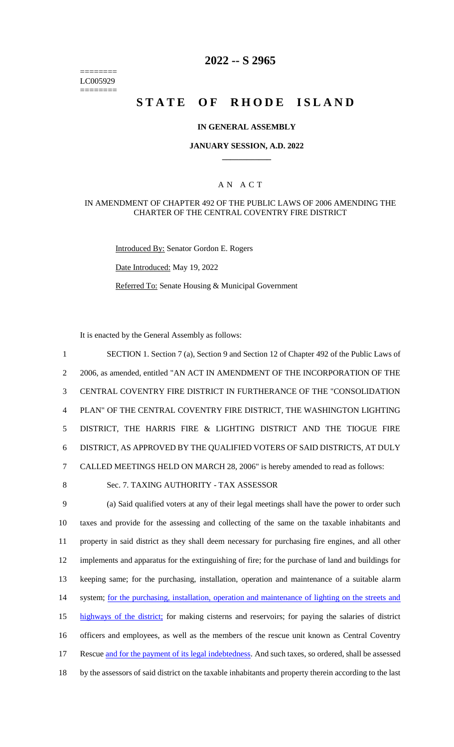======== LC005929 ========

# **2022 -- S 2965**

# **STATE OF RHODE ISLAND**

### **IN GENERAL ASSEMBLY**

### **JANUARY SESSION, A.D. 2022 \_\_\_\_\_\_\_\_\_\_\_\_**

### A N A C T

### IN AMENDMENT OF CHAPTER 492 OF THE PUBLIC LAWS OF 2006 AMENDING THE CHARTER OF THE CENTRAL COVENTRY FIRE DISTRICT

Introduced By: Senator Gordon E. Rogers

Date Introduced: May 19, 2022

Referred To: Senate Housing & Municipal Government

It is enacted by the General Assembly as follows:

 SECTION 1. Section 7 (a), Section 9 and Section 12 of Chapter 492 of the Public Laws of 2006, as amended, entitled "AN ACT IN AMENDMENT OF THE INCORPORATION OF THE CENTRAL COVENTRY FIRE DISTRICT IN FURTHERANCE OF THE "CONSOLIDATION PLAN" OF THE CENTRAL COVENTRY FIRE DISTRICT, THE WASHINGTON LIGHTING DISTRICT, THE HARRIS FIRE & LIGHTING DISTRICT AND THE TIOGUE FIRE DISTRICT, AS APPROVED BY THE QUALIFIED VOTERS OF SAID DISTRICTS, AT DULY CALLED MEETINGS HELD ON MARCH 28, 2006" is hereby amended to read as follows: Sec. 7. TAXING AUTHORITY - TAX ASSESSOR (a) Said qualified voters at any of their legal meetings shall have the power to order such taxes and provide for the assessing and collecting of the same on the taxable inhabitants and property in said district as they shall deem necessary for purchasing fire engines, and all other implements and apparatus for the extinguishing of fire; for the purchase of land and buildings for keeping same; for the purchasing, installation, operation and maintenance of a suitable alarm 14 system; for the purchasing, installation, operation and maintenance of lighting on the streets and highways of the district; for making cisterns and reservoirs; for paying the salaries of district officers and employees, as well as the members of the rescue unit known as Central Coventry 17 Rescue and for the payment of its legal indebtedness. And such taxes, so ordered, shall be assessed by the assessors of said district on the taxable inhabitants and property therein according to the last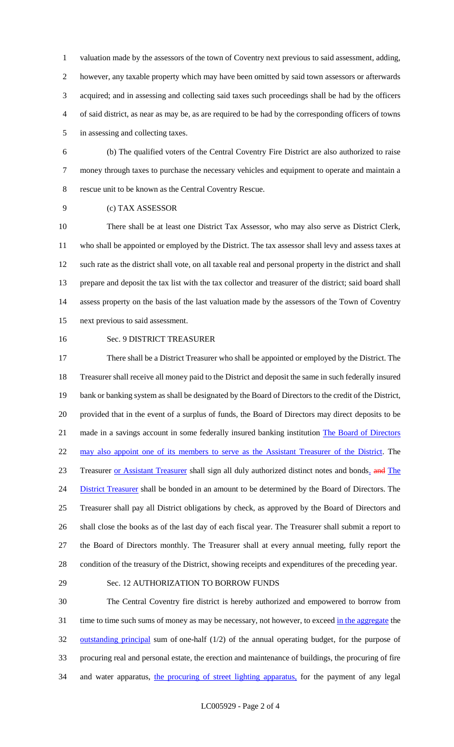valuation made by the assessors of the town of Coventry next previous to said assessment, adding, however, any taxable property which may have been omitted by said town assessors or afterwards acquired; and in assessing and collecting said taxes such proceedings shall be had by the officers of said district, as near as may be, as are required to be had by the corresponding officers of towns in assessing and collecting taxes.

 (b) The qualified voters of the Central Coventry Fire District are also authorized to raise money through taxes to purchase the necessary vehicles and equipment to operate and maintain a rescue unit to be known as the Central Coventry Rescue.

(c) TAX ASSESSOR

 There shall be at least one District Tax Assessor, who may also serve as District Clerk, who shall be appointed or employed by the District. The tax assessor shall levy and assess taxes at such rate as the district shall vote, on all taxable real and personal property in the district and shall prepare and deposit the tax list with the tax collector and treasurer of the district; said board shall assess property on the basis of the last valuation made by the assessors of the Town of Coventry next previous to said assessment.

#### Sec. 9 DISTRICT TREASURER

 There shall be a District Treasurer who shall be appointed or employed by the District. The Treasurer shall receive all money paid to the District and deposit the same in such federally insured bank or banking system as shall be designated by the Board of Directors to the credit of the District, provided that in the event of a surplus of funds, the Board of Directors may direct deposits to be 21 made in a savings account in some federally insured banking institution The Board of Directors 22 may also appoint one of its members to serve as the Assistant Treasurer of the District. The 23 Treasurer or Assistant Treasurer shall sign all duly authorized distinct notes and bonds. and The 24 District Treasurer shall be bonded in an amount to be determined by the Board of Directors. The Treasurer shall pay all District obligations by check, as approved by the Board of Directors and shall close the books as of the last day of each fiscal year. The Treasurer shall submit a report to the Board of Directors monthly. The Treasurer shall at every annual meeting, fully report the condition of the treasury of the District, showing receipts and expenditures of the preceding year.

#### Sec. 12 AUTHORIZATION TO BORROW FUNDS

 The Central Coventry fire district is hereby authorized and empowered to borrow from 31 time to time such sums of money as may be necessary, not however, to exceed in the aggregate the 32 outstanding principal sum of one-half (1/2) of the annual operating budget, for the purpose of procuring real and personal estate, the erection and maintenance of buildings, the procuring of fire 34 and water apparatus, the procuring of street lighting apparatus, for the payment of any legal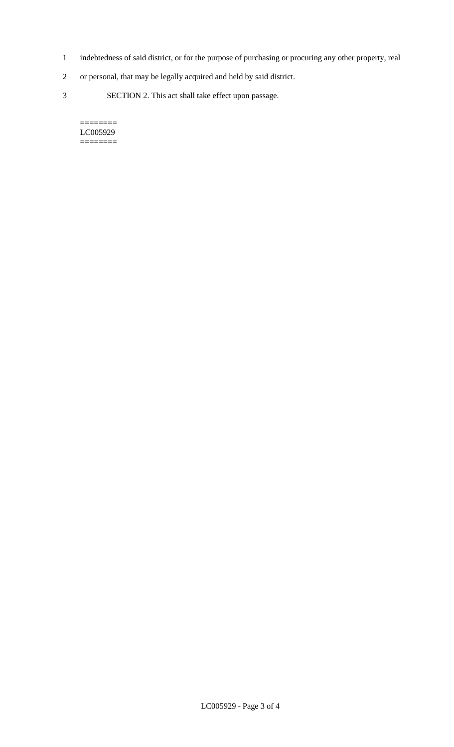- 1 indebtedness of said district, or for the purpose of purchasing or procuring any other property, real
- 2 or personal, that may be legally acquired and held by said district.
- 3 SECTION 2. This act shall take effect upon passage.

#### $=$ LC005929 ========